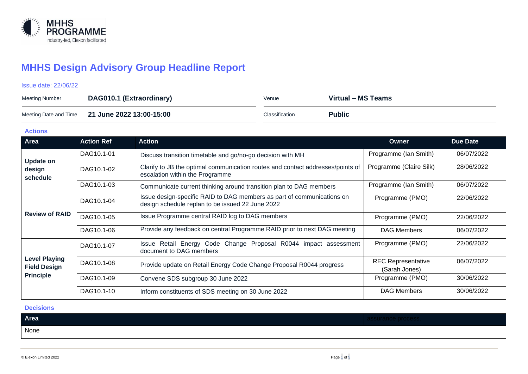

# **MHHS Design Advisory Group Headline Report**

Issue date: 22/06/22

| Meeting Number | DAG010.1 (Extraordinary)                       | Venue          | Virtual – MS Teams |
|----------------|------------------------------------------------|----------------|--------------------|
|                | Meeting Date and Time 21 June 2022 13:00-15:00 | Classification | <b>Public</b>      |

**Actions**

| Area                                                            | <b>Action Ref</b> | <b>Action</b>                                                                                                              | Owner                                      | <b>Due Date</b> |
|-----------------------------------------------------------------|-------------------|----------------------------------------------------------------------------------------------------------------------------|--------------------------------------------|-----------------|
| <b>Update on</b><br>design<br>schedule                          | DAG10.1-01        | Discuss transition timetable and go/no-go decision with MH                                                                 | Programme (Ian Smith)                      | 06/07/2022      |
|                                                                 | DAG10.1-02        | Clarify to JB the optimal communication routes and contact addresses/points of<br>escalation within the Programme          | Programme (Claire Silk)                    | 28/06/2022      |
|                                                                 | DAG10.1-03        | Communicate current thinking around transition plan to DAG members                                                         | Programme (Ian Smith)                      | 06/07/2022      |
| <b>Review of RAID</b>                                           | DAG10.1-04        | Issue design-specific RAID to DAG members as part of communications on<br>design schedule replan to be issued 22 June 2022 | Programme (PMO)                            | 22/06/2022      |
|                                                                 | DAG10.1-05        | Issue Programme central RAID log to DAG members                                                                            | Programme (PMO)                            | 22/06/2022      |
|                                                                 | DAG10.1-06        | Provide any feedback on central Programme RAID prior to next DAG meeting                                                   | <b>DAG Members</b>                         | 06/07/2022      |
|                                                                 | DAG10.1-07        | Issue Retail Energy Code Change Proposal R0044 impact assessment<br>document to DAG members                                | Programme (PMO)                            | 22/06/2022      |
| <b>Level Playing</b><br><b>Field Design</b><br><b>Principle</b> | DAG10.1-08        | Provide update on Retail Energy Code Change Proposal R0044 progress                                                        | <b>REC Representative</b><br>(Sarah Jones) | 06/07/2022      |
|                                                                 | DAG10.1-09        | Convene SDS subgroup 30 June 2022                                                                                          | Programme (PMO)                            | 30/06/2022      |
|                                                                 | DAG10.1-10        | Inform constituents of SDS meeting on 30 June 2022                                                                         | <b>DAG Members</b>                         | 30/06/2022      |

#### **Decisions**

| Area |  |  |  |
|------|--|--|--|
| None |  |  |  |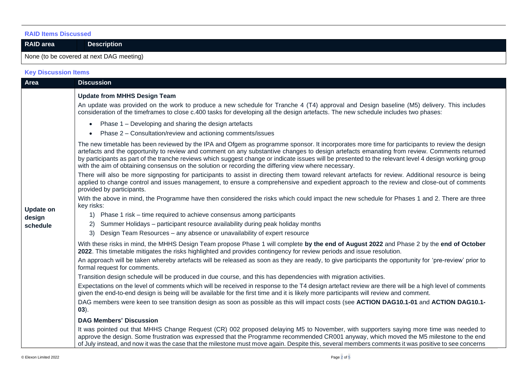#### **RAID Items Discussed**

**RAID area Description** 

### None (to be covered at next DAG meeting)

## **Key Discussion Items**

| Area             | <b>Discussion</b>                                                                                                                                                                                                                                                                                                                                                                                                                                                                                                                                              |
|------------------|----------------------------------------------------------------------------------------------------------------------------------------------------------------------------------------------------------------------------------------------------------------------------------------------------------------------------------------------------------------------------------------------------------------------------------------------------------------------------------------------------------------------------------------------------------------|
|                  | <b>Update from MHHS Design Team</b>                                                                                                                                                                                                                                                                                                                                                                                                                                                                                                                            |
|                  | An update was provided on the work to produce a new schedule for Tranche 4 (T4) approval and Design baseline (M5) delivery. This includes<br>consideration of the timeframes to close c.400 tasks for developing all the design artefacts. The new schedule includes two phases:                                                                                                                                                                                                                                                                               |
|                  | Phase 1 – Developing and sharing the design artefacts                                                                                                                                                                                                                                                                                                                                                                                                                                                                                                          |
|                  | Phase 2 – Consultation/review and actioning comments/issues                                                                                                                                                                                                                                                                                                                                                                                                                                                                                                    |
|                  | The new timetable has been reviewed by the IPA and Ofgem as programme sponsor. It incorporates more time for participants to review the design<br>artefacts and the opportunity to review and comment on any substantive changes to design artefacts emanating from review. Comments returned<br>by participants as part of the tranche reviews which suggest change or indicate issues will be presented to the relevant level 4 design working group<br>with the aim of obtaining consensus on the solution or recording the differing view where necessary. |
|                  | There will also be more signposting for participants to assist in directing them toward relevant artefacts for review. Additional resource is being<br>applied to change control and issues management, to ensure a comprehensive and expedient approach to the review and close-out of comments<br>provided by participants.                                                                                                                                                                                                                                  |
| <b>Update on</b> | With the above in mind, the Programme have then considered the risks which could impact the new schedule for Phases 1 and 2. There are three<br>key risks:                                                                                                                                                                                                                                                                                                                                                                                                     |
| design           | 1) Phase 1 risk – time required to achieve consensus among participants                                                                                                                                                                                                                                                                                                                                                                                                                                                                                        |
| schedule         | Summer Holidays - participant resource availability during peak holiday months<br><sup>2)</sup>                                                                                                                                                                                                                                                                                                                                                                                                                                                                |
|                  | Design Team Resources - any absence or unavailability of expert resource<br>3)                                                                                                                                                                                                                                                                                                                                                                                                                                                                                 |
|                  | With these risks in mind, the MHHS Design Team propose Phase 1 will complete by the end of August 2022 and Phase 2 by the end of October<br>2022. This timetable mitigates the risks highlighted and provides contingency for review periods and issue resolution.                                                                                                                                                                                                                                                                                             |
|                  | An approach will be taken whereby artefacts will be released as soon as they are ready, to give participants the opportunity for 'pre-review' prior to<br>formal request for comments.                                                                                                                                                                                                                                                                                                                                                                         |
|                  | Transition design schedule will be produced in due course, and this has dependencies with migration activities.                                                                                                                                                                                                                                                                                                                                                                                                                                                |
|                  | Expectations on the level of comments which will be received in response to the T4 design artefact review are there will be a high level of comments<br>given the end-to-end design is being will be available for the first time and it is likely more participants will review and comment.                                                                                                                                                                                                                                                                  |
|                  | DAG members were keen to see transition design as soon as possible as this will impact costs (see ACTION DAG10.1-01 and ACTION DAG10.1-<br>$(03)$ .                                                                                                                                                                                                                                                                                                                                                                                                            |
|                  | <b>DAG Members' Discussion</b>                                                                                                                                                                                                                                                                                                                                                                                                                                                                                                                                 |
|                  | It was pointed out that MHHS Change Request (CR) 002 proposed delaying M5 to November, with supporters saying more time was needed to<br>approve the design. Some frustration was expressed that the Programme recommended CR001 anyway, which moved the M5 milestone to the end<br>of July instead, and now it was the case that the milestone must move again. Despite this, several members comments it was positive to see concerns                                                                                                                        |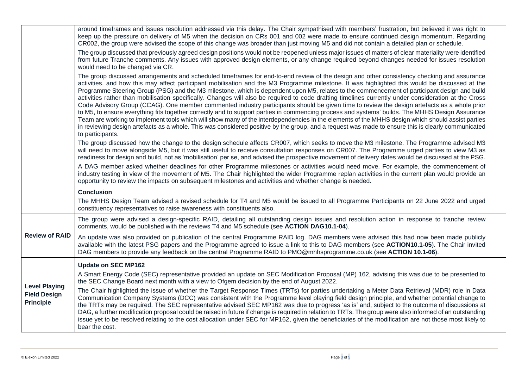|                                         | around timeframes and issues resolution addressed via this delay. The Chair sympathised with members' frustration, but believed it was right to<br>keep up the pressure on delivery of M5 when the decision on CRs 001 and 002 were made to ensure continued design momentum. Regarding<br>CR002, the group were advised the scope of this change was broader than just moving M5 and did not contain a detailed plan or schedule.                                                                                                                                                                                                                                                                                                                                                                                                                                                                                                                                                                                                                                                                                                                                                                                                    |
|-----------------------------------------|---------------------------------------------------------------------------------------------------------------------------------------------------------------------------------------------------------------------------------------------------------------------------------------------------------------------------------------------------------------------------------------------------------------------------------------------------------------------------------------------------------------------------------------------------------------------------------------------------------------------------------------------------------------------------------------------------------------------------------------------------------------------------------------------------------------------------------------------------------------------------------------------------------------------------------------------------------------------------------------------------------------------------------------------------------------------------------------------------------------------------------------------------------------------------------------------------------------------------------------|
|                                         | The group discussed that previously agreed design positions would not be reopened unless major issues of matters of clear materiality were identified<br>from future Tranche comments. Any issues with approved design elements, or any change required beyond changes needed for issues resolution<br>would need to be changed via CR.                                                                                                                                                                                                                                                                                                                                                                                                                                                                                                                                                                                                                                                                                                                                                                                                                                                                                               |
|                                         | The group discussed arrangements and scheduled timeframes for end-to-end review of the design and other consistency checking and assurance<br>activities, and how this may affect participant mobilisation and the M3 Programme milestone. It was highlighted this would be discussed at the<br>Programme Steering Group (PSG) and the M3 milestone, which is dependent upon M5, relates to the commencement of participant design and build<br>activities rather than mobilisation specifically. Changes will also be required to code drafting timelines currently under consideration at the Cross<br>Code Advisory Group (CCAG). One member commented industry participants should be given time to review the design artefacts as a whole prior<br>to M5, to ensure everything fits together correctly and to support parties in commencing process and systems' builds. The MHHS Design Assurance<br>Team are working to implement tools which will show many of the interdependencies in the elements of the MHHS design which should assist parties<br>in reviewing design artefacts as a whole. This was considered positive by the group, and a request was made to ensure this is clearly communicated<br>to participants. |
|                                         | The group discussed how the change to the design schedule affects CR007, which seeks to move the M3 milestone. The Programme advised M3<br>will need to move alongside M5, but it was still useful to receive consultation responses on CR007. The Programme urged parties to view M3 as<br>readiness for design and build, not as 'mobilisation' per se, and advised the prospective movement of delivery dates would be discussed at the PSG.                                                                                                                                                                                                                                                                                                                                                                                                                                                                                                                                                                                                                                                                                                                                                                                       |
|                                         | A DAG member asked whether deadlines for other Programme milestones or activities would need move. For example, the commencement of<br>industry testing in view of the movement of M5. The Chair highlighted the wider Programme replan activities in the current plan would provide an<br>opportunity to review the impacts on subsequent milestones and activities and whether change is needed.                                                                                                                                                                                                                                                                                                                                                                                                                                                                                                                                                                                                                                                                                                                                                                                                                                    |
|                                         | <b>Conclusion</b>                                                                                                                                                                                                                                                                                                                                                                                                                                                                                                                                                                                                                                                                                                                                                                                                                                                                                                                                                                                                                                                                                                                                                                                                                     |
|                                         | The MHHS Design Team advised a revised schedule for T4 and M5 would be issued to all Programme Participants on 22 June 2022 and urged<br>constituency representatives to raise awareness with constituents also.                                                                                                                                                                                                                                                                                                                                                                                                                                                                                                                                                                                                                                                                                                                                                                                                                                                                                                                                                                                                                      |
|                                         | The group were advised a design-specific RAID, detailing all outstanding design issues and resolution action in response to tranche review<br>comments, would be published with the reviews T4 and M5 schedule (see ACTION DAG10.1-04).                                                                                                                                                                                                                                                                                                                                                                                                                                                                                                                                                                                                                                                                                                                                                                                                                                                                                                                                                                                               |
| <b>Review of RAID</b>                   | An update was also provided on publication of the central Programme RAID log. DAG members were advised this had now been made publicly<br>available with the latest PSG papers and the Programme agreed to issue a link to this to DAG members (see ACTION10.1-05). The Chair invited<br>DAG members to provide any feedback on the central Programme RAID to PMO@mhhsprogramme.co.uk (see ACTION 10.1-06).                                                                                                                                                                                                                                                                                                                                                                                                                                                                                                                                                                                                                                                                                                                                                                                                                           |
|                                         | <b>Update on SEC MP162</b>                                                                                                                                                                                                                                                                                                                                                                                                                                                                                                                                                                                                                                                                                                                                                                                                                                                                                                                                                                                                                                                                                                                                                                                                            |
| <b>Level Playing</b>                    | A Smart Energy Code (SEC) representative provided an update on SEC Modification Proposal (MP) 162, advising this was due to be presented to<br>the SEC Change Board next month with a view to Ofgem decision by the end of August 2022.                                                                                                                                                                                                                                                                                                                                                                                                                                                                                                                                                                                                                                                                                                                                                                                                                                                                                                                                                                                               |
| <b>Field Design</b><br><b>Principle</b> | The Chair highlighted the issue of whether the Target Response Times (TRTs) for parties undertaking a Meter Data Retrieval (MDR) role in Data<br>Communication Company Systems (DCC) was consistent with the Programme level playing field design principle, and whether potential change to<br>the TRTs may be required. The SEC representative advised SEC MP162 was due to progress 'as is' and, subject to the outcome of discussions at<br>DAG, a further modification proposal could be raised in future if change is required in relation to TRTs. The group were also informed of an outstanding<br>issue yet to be resolved relating to the cost allocation under SEC for MP162, given the beneficiaries of the modification are not those most likely to<br>bear the cost.                                                                                                                                                                                                                                                                                                                                                                                                                                                  |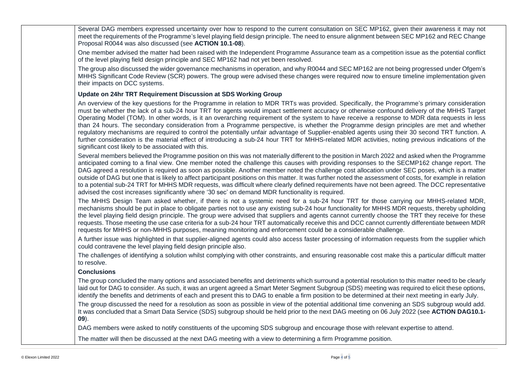| Several DAG members expressed uncertainty over how to respond to the current consultation on SEC MP162, given their awareness it may not<br>meet the requirements of the Programme's level playing field design principle. The need to ensure alignment between SEC MP162 and REC Change<br>Proposal R0044 was also discussed (see ACTION 10.1-08).                                                                                                                                                                                                                                                                                                                                                                                                                                                                                                                                                                                                    |
|--------------------------------------------------------------------------------------------------------------------------------------------------------------------------------------------------------------------------------------------------------------------------------------------------------------------------------------------------------------------------------------------------------------------------------------------------------------------------------------------------------------------------------------------------------------------------------------------------------------------------------------------------------------------------------------------------------------------------------------------------------------------------------------------------------------------------------------------------------------------------------------------------------------------------------------------------------|
| One member advised the matter had been raised with the Independent Programme Assurance team as a competition issue as the potential conflict<br>of the level playing field design principle and SEC MP162 had not yet been resolved.                                                                                                                                                                                                                                                                                                                                                                                                                                                                                                                                                                                                                                                                                                                   |
| The group also discussed the wider governance mechanisms in operation, and why R0044 and SEC MP162 are not being progressed under Ofgem's<br>MHHS Significant Code Review (SCR) powers. The group were advised these changes were required now to ensure timeline implementation given<br>their impacts on DCC systems.                                                                                                                                                                                                                                                                                                                                                                                                                                                                                                                                                                                                                                |
| Update on 24hr TRT Requirement Discussion at SDS Working Group                                                                                                                                                                                                                                                                                                                                                                                                                                                                                                                                                                                                                                                                                                                                                                                                                                                                                         |
| An overview of the key questions for the Programme in relation to MDR TRTs was provided. Specifically, the Programme's primary consideration<br>must be whether the lack of a sub-24 hour TRT for agents would impact settlement accuracy or otherwise confound delivery of the MHHS Target<br>Operating Model (TOM). In other words, is it an overarching requirement of the system to have receive a response to MDR data requests in less<br>than 24 hours. The secondary consideration from a Programme perspective, is whether the Programme design principles are met and whether<br>regulatory mechanisms are required to control the potentially unfair advantage of Supplier-enabled agents using their 30 second TRT function. A<br>further consideration is the material effect of introducing a sub-24 hour TRT for MHHS-related MDR activities, noting previous indications of the<br>significant cost likely to be associated with this. |
| Several members believed the Programme position on this was not materially different to the position in March 2022 and asked when the Programme<br>anticipated coming to a final view. One member noted the challenge this causes with providing responses to the SECMP162 change report. The<br>DAG agreed a resolution is required as soon as possible. Another member noted the challenge cost allocation under SEC poses, which is a matter<br>outside of DAG but one that is likely to affect participant positions on this matter. It was further noted the assessment of costs, for example in relation<br>to a potential sub-24 TRT for MHHS MDR requests, was difficult where clearly defined requirements have not been agreed. The DCC representative<br>advised the cost increases significantly where '30 sec' on demand MDR functionality is required.                                                                                   |
| The MHHS Design Team asked whether, if there is not a systemic need for a sub-24 hour TRT for those carrying our MHHS-related MDR,<br>mechanisms should be put in place to obligate parties not to use any existing sub-24 hour functionality for MHHS MDR requests, thereby upholding<br>the level playing field design principle. The group were advised that suppliers and agents cannot currently choose the TRT they receive for these<br>requests. Those meeting the use case criteria for a sub-24 hour TRT automatically receive this and DCC cannot currently differentiate between MDR<br>requests for MHHS or non-MHHS purposes, meaning monitoring and enforcement could be a considerable challenge.                                                                                                                                                                                                                                      |
| A further issue was highlighted in that supplier-aligned agents could also access faster processing of information requests from the supplier which<br>could contravene the level playing field design principle also.                                                                                                                                                                                                                                                                                                                                                                                                                                                                                                                                                                                                                                                                                                                                 |
| The challenges of identifying a solution whilst complying with other constraints, and ensuring reasonable cost make this a particular difficult matter<br>to resolve.                                                                                                                                                                                                                                                                                                                                                                                                                                                                                                                                                                                                                                                                                                                                                                                  |
| <b>Conclusions</b>                                                                                                                                                                                                                                                                                                                                                                                                                                                                                                                                                                                                                                                                                                                                                                                                                                                                                                                                     |
| The group concluded the many options and associated benefits and detriments which surround a potential resolution to this matter need to be clearly<br>laid out for DAG to consider. As such, it was an urgent agreed a Smart Meter Segment Subgroup (SDS) meeting was required to elicit these options,<br>identify the benefits and detriments of each and present this to DAG to enable a firm position to be determined at their next meeting in early July.                                                                                                                                                                                                                                                                                                                                                                                                                                                                                       |
| The group discussed the need for a resolution as soon as possible in view of the potential additional time convening an SDS subgroup would add.<br>It was concluded that a Smart Data Service (SDS) subgroup should be held prior to the next DAG meeting on 06 July 2022 (see ACTION DAG10.1-<br>$(09)$ .                                                                                                                                                                                                                                                                                                                                                                                                                                                                                                                                                                                                                                             |
| DAG members were asked to notify constituents of the upcoming SDS subgroup and encourage those with relevant expertise to attend.                                                                                                                                                                                                                                                                                                                                                                                                                                                                                                                                                                                                                                                                                                                                                                                                                      |
| The matter will then be discussed at the next DAG meeting with a view to determining a firm Programme position.                                                                                                                                                                                                                                                                                                                                                                                                                                                                                                                                                                                                                                                                                                                                                                                                                                        |